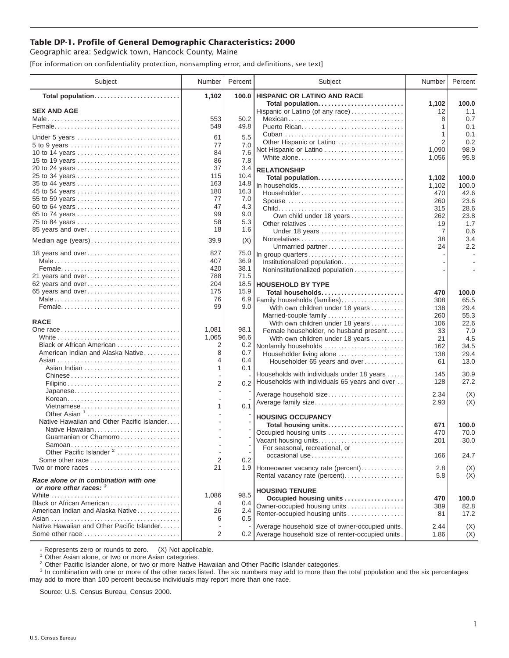## **Table DP-1. Profile of General Demographic Characteristics: 2000**

Geographic area: Sedgwick town, Hancock County, Maine

[For information on confidentiality protection, nonsampling error, and definitions, see text]

| Subject                                                        | Number                   | Percent    | Subject                                                                                                 | Number         | Percent      |
|----------------------------------------------------------------|--------------------------|------------|---------------------------------------------------------------------------------------------------------|----------------|--------------|
| Total population                                               | 1,102                    | 100.0      | <b>HISPANIC OR LATINO AND RACE</b>                                                                      |                |              |
| <b>SEX AND AGE</b>                                             |                          |            | Total population                                                                                        | 1,102          | 100.0<br>1.1 |
|                                                                | 553                      | 50.2       | Hispanic or Latino (of any race)<br>Mexican                                                             | 12<br>8        | 0.7          |
|                                                                | 549                      | 49.8       |                                                                                                         | 1              | 0.1          |
|                                                                |                          |            |                                                                                                         | 1              | 0.1          |
| Under 5 years                                                  | 61                       | 5.5        | Other Hispanic or Latino                                                                                | $\overline{2}$ | 0.2          |
|                                                                | 77                       | 7.0        | Not Hispanic or Latino                                                                                  | 1,090          | 98.9         |
| 10 to 14 years                                                 | 84                       | 7.6        | White alone                                                                                             | 1,056          | 95.8         |
| 15 to 19 years                                                 | 86                       | 7.8        |                                                                                                         |                |              |
| 20 to 24 years                                                 | 37                       | 3.4        | <b>RELATIONSHIP</b>                                                                                     |                |              |
| 25 to 34 years                                                 | 115                      | 10.4       | Total population                                                                                        | 1.102          | 100.0        |
|                                                                | 163                      | 14.8       | In households                                                                                           | 1,102          | 100.0        |
| 45 to 54 years                                                 | 180                      | 16.3       | Householder                                                                                             | 470            | 42.6         |
| 55 to 59 years                                                 | 77<br>47                 | 7.0<br>4.3 | Spouse                                                                                                  | 260            | 23.6         |
| 60 to 64 years<br>65 to 74 years                               | 99                       | 9.0        |                                                                                                         | 315            | 28.6         |
| 75 to 84 years                                                 | 58                       | 5.3        | Own child under 18 years                                                                                | 262            | 23.8         |
| 85 years and over                                              | 18                       | 1.6        | Other relatives                                                                                         | 19             | 1.7          |
|                                                                |                          |            | Under 18 years                                                                                          | 7              | 0.6          |
| Median age (years)                                             | 39.9                     | (X)        |                                                                                                         | 38<br>24       | 3.4<br>2.2   |
| 18 years and over                                              | 827                      | 75.0       | Unmarried partner                                                                                       |                | $\sim$       |
|                                                                | 407                      | 36.9       | In group quarters                                                                                       |                |              |
|                                                                | 420                      | 38.1       | Institutionalized population<br>Noninstitutionalized population                                         |                |              |
| 21 years and over                                              | 788                      | 71.5       |                                                                                                         |                |              |
| 62 years and over                                              | 204                      |            | 18.5   HOUSEHOLD BY TYPE                                                                                |                |              |
| 65 years and over                                              | 175                      | 15.9       | Total households                                                                                        | 470            | 100.0        |
|                                                                | 76                       | 6.9        | Family households (families)                                                                            | 308            | 65.5         |
|                                                                | 99                       | 9.0        | With own children under 18 years                                                                        | 138            | 29.4         |
|                                                                |                          |            | Married-couple family                                                                                   | 260            | 55.3         |
| <b>RACE</b>                                                    |                          |            | With own children under 18 years                                                                        | 106            | 22.6         |
|                                                                | 1,081                    | 98.1       | Female householder, no husband present                                                                  | 33             | 7.0          |
|                                                                | 1,065                    | 96.6       | With own children under 18 years                                                                        | 21             | 4.5          |
| Black or African American                                      | 2                        | 0.2        | Nonfamily households                                                                                    | 162            | 34.5         |
| American Indian and Alaska Native                              | 8                        | 0.7        | Householder living alone                                                                                | 138            | 29.4         |
|                                                                | 4                        | 0.4        | Householder 65 years and over                                                                           | 61             | 13.0         |
|                                                                | 1                        | 0.1        |                                                                                                         |                |              |
| Chinese                                                        |                          |            | Households with individuals under 18 years                                                              | 145            | 30.9         |
|                                                                | 2                        | 0.2        | Households with individuals 65 years and over                                                           | 128            | 27.2         |
| Japanese                                                       |                          |            | Average household size                                                                                  | 2.34           | (X)          |
| Korean                                                         |                          |            | Average family size                                                                                     | 2.93           | (X)          |
| Vietnamese<br>Other Asian <sup>1</sup>                         | 1                        | 0.1        |                                                                                                         |                |              |
| Native Hawaiian and Other Pacific Islander                     |                          |            | <b>HOUSING OCCUPANCY</b>                                                                                |                |              |
| Native Hawaiian                                                |                          |            | Total housing units                                                                                     | 671            | 100.0        |
| Guamanian or Chamorro                                          |                          |            | Occupied housing units                                                                                  | 470            | 70.0         |
|                                                                |                          |            | Vacant housing units                                                                                    | 201            | 30.0         |
| Other Pacific Islander <sup>2</sup>                            | $\overline{\phantom{a}}$ |            | For seasonal, recreational, or                                                                          |                |              |
| Some other race                                                | 2                        | 0.2        | occasional use                                                                                          | 166            | 24.7         |
| Two or more races                                              | 21                       |            | 1.9 Homeowner vacancy rate (percent)                                                                    | 2.8            | (X)          |
|                                                                |                          |            | Rental vacancy rate (percent)                                                                           | 5.8            | (X)          |
| Race alone or in combination with one                          |                          |            |                                                                                                         |                |              |
| or more other races: 3                                         |                          |            | <b>HOUSING TENURE</b>                                                                                   |                |              |
|                                                                | 1,086                    | 98.5       | Occupied housing units                                                                                  | 470            | 100.0        |
| Black or African American<br>American Indian and Alaska Native | 4                        | 0.4        | Owner-occupied housing units                                                                            | 389            | 82.8         |
|                                                                | 26<br>6                  | 2.4<br>0.5 | Renter-occupied housing units                                                                           | 81             | 17.2         |
| Native Hawaiian and Other Pacific Islander                     |                          |            |                                                                                                         |                |              |
| Some other race                                                | 2                        |            | Average household size of owner-occupied units.<br>0.2 Average household size of renter-occupied units. | 2.44<br>1.86   | (X)<br>(X)   |
|                                                                |                          |            |                                                                                                         |                |              |

- Represents zero or rounds to zero. (X) Not applicable.<br><sup>1</sup> Other Asian alone, or two or more Asian categories.

<sup>2</sup> Other Pacific Islander alone, or two or more Native Hawaiian and Other Pacific Islander categories.<br><sup>3</sup> In combination with one or more of the other races listed. The six numbers may add to more than the total populati may add to more than 100 percent because individuals may report more than one race.

Source: U.S. Census Bureau, Census 2000.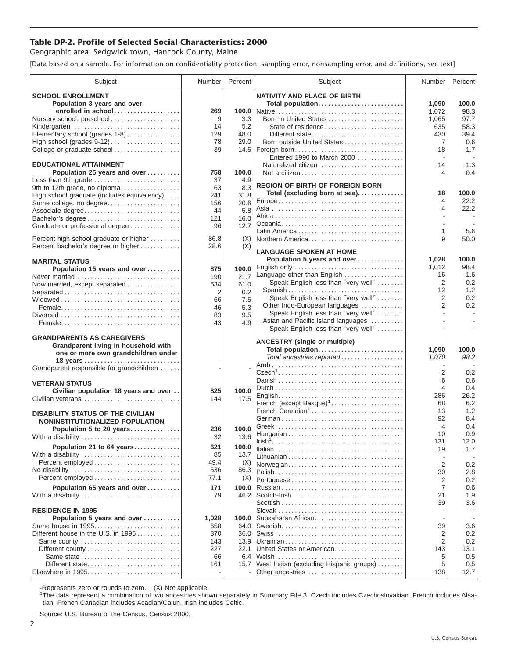## **Table DP-2. Profile of Selected Social Characteristics: 2000**

Geographic area: Sedgwick town, Hancock County, Maine

[Data based on a sample. For information on confidentiality protection, sampling error, nonsampling error, and definitions, see text]

| Subject                                                                     | Number    | Percent     | Subject                                                              | Number         | Percent      |
|-----------------------------------------------------------------------------|-----------|-------------|----------------------------------------------------------------------|----------------|--------------|
| <b>SCHOOL ENROLLMENT</b>                                                    |           |             | <b>NATIVITY AND PLACE OF BIRTH</b>                                   |                |              |
| Population 3 years and over                                                 |           |             | Total population                                                     | 1,090          | 100.0        |
| enrolled in school                                                          | 269       |             |                                                                      | 1,072          | 98.3         |
| Nursery school, preschool<br>Kindergarten                                   | 9<br>14   | 3.3<br>5.2  | Born in United States<br>State of residence                          | 1,065<br>635   | 97.7<br>58.3 |
| Elementary school (grades 1-8)                                              | 129       | 48.0        | Different state                                                      | 430            | 39.4         |
| High school (grades $9-12$ )                                                | 78        | 29.0        | Born outside United States                                           | $\overline{7}$ | 0.6          |
| College or graduate school                                                  | 39        |             | 14.5   Foreign born                                                  | 18             | 1.7          |
|                                                                             |           |             | Entered 1990 to March 2000                                           |                |              |
| <b>EDUCATIONAL ATTAINMENT</b>                                               |           |             | Naturalized citizen                                                  | 14             | 1.3          |
| Population 25 years and over                                                | 758<br>37 | 100.0       |                                                                      | 4              | 0.4          |
| Less than 9th grade<br>9th to 12th grade, no diploma                        | 63        | 4.9<br>8.3  | <b>REGION OF BIRTH OF FOREIGN BORN</b>                               |                |              |
| High school graduate (includes equivalency)                                 | 241       | 31.8        | Total (excluding born at sea)                                        | 18             | 100.0        |
| Some college, no degree                                                     | 156       | 20.6        |                                                                      | 4              | 22.2         |
| Associate degree                                                            | 44        | 5.8         |                                                                      | 4              | 22.2         |
|                                                                             | 121       | 16.0        |                                                                      |                |              |
| Graduate or professional degree                                             | 96        | 12.7        |                                                                      | 1              | 5.6          |
| Percent high school graduate or higher                                      | 86.8      | (X)         | Northern America                                                     | 9              | 50.0         |
| Percent bachelor's degree or higher                                         | 28.6      | (X)         |                                                                      |                |              |
|                                                                             |           |             | <b>LANGUAGE SPOKEN AT HOME</b><br>Population 5 years and over        | 1,028          | 100.0        |
| <b>MARITAL STATUS</b>                                                       | 875       | 100.0       | English only                                                         | 1,012          | 98.4         |
| Population 15 years and over<br>Never married                               | 190       | 21.7        | Language other than English                                          | 16             | 1.6          |
| Now married, except separated                                               | 534       | 61.0        | Speak English less than "very well"                                  | 2              | 0.2          |
| Separated                                                                   | 2         | 0.2         | Spanish                                                              | 12             | 1.2          |
|                                                                             | 66        | 7.5         | Speak English less than "very well"                                  | 2              | 0.2          |
|                                                                             | 46        | 5.3         | Other Indo-European languages<br>Speak English less than "very well" | $\overline{2}$ | 0.2          |
|                                                                             | 83        | 9.5         | Asian and Pacific Island languages                                   |                |              |
|                                                                             | 43        | 4.9         | Speak English less than "very well"                                  |                |              |
| <b>GRANDPARENTS AS CAREGIVERS</b>                                           |           |             |                                                                      |                |              |
| Grandparent living in household with                                        |           |             | <b>ANCESTRY (single or multiple)</b><br>Total population             | 1,090          | 100.0        |
| one or more own grandchildren under                                         |           |             | Total ancestries reported                                            | 1,070          | 98.2         |
| Grandparent responsible for grandchildren                                   |           |             |                                                                      |                |              |
|                                                                             |           |             |                                                                      | 2              | 0.2          |
| <b>VETERAN STATUS</b>                                                       |           |             |                                                                      | 6              | 0.6          |
| Civilian population 18 years and over                                       | 825       | 100.0       |                                                                      | 4              | 0.4          |
| Civilian veterans                                                           | 144       | 17.5        | French (except Basque) <sup>1</sup>                                  | 286<br>68      | 26.2<br>6.2  |
|                                                                             |           |             | French Canadian <sup>1</sup>                                         | 13             | 1.2          |
| <b>DISABILITY STATUS OF THE CIVILIAN</b><br>NONINSTITUTIONALIZED POPULATION |           |             |                                                                      | 92             | 8.4          |
| Population 5 to 20 years                                                    | 236       | 100.0       |                                                                      | 4              | 0.4          |
| With a disability                                                           | 32        | 13.6        |                                                                      | 10             | 0.9          |
| Population 21 to 64 years                                                   | 621       | 100.0       |                                                                      | 131            | 12.0         |
| With a disability                                                           | 85        | 13.7        |                                                                      | 19             | 1.7          |
|                                                                             | 49.4      | (X)         | Norwegian                                                            | $\overline{2}$ | 0.2          |
| No disability                                                               | 536       | 86.3        |                                                                      | 30             | 2.8          |
| Percent employed                                                            | 77.1      | (X)         |                                                                      | 2              | 0.2          |
| Population 65 years and over                                                | 171       | 100.0       |                                                                      | $\overline{7}$ | 0.6          |
| With a disability                                                           | 79        | 46.2        |                                                                      | 21             | 1.9          |
| <b>RESIDENCE IN 1995</b>                                                    |           |             |                                                                      | 39             | 3.6          |
| Population 5 years and over                                                 | 1,028     | 100.0       | Subsaharan African                                                   |                |              |
| Same house in 1995                                                          | 658       | 64.0        |                                                                      | 39             | 3.6          |
| Different house in the U.S. in 1995                                         | 370       | 36.0        |                                                                      | 2              | 0.2          |
| Same county                                                                 | 143       | 13.9        |                                                                      | $\overline{2}$ | 0.2          |
|                                                                             | 227       | 22.1        | United States or American                                            | 143            | 13.1         |
| Same state<br>Different state                                               | 66<br>161 | 6.4<br>15.7 | West Indian (excluding Hispanic groups)                              | 5<br>5         | 0.5<br>0.5   |
|                                                                             |           |             | Other ancestries                                                     | 138            | 12.7         |
|                                                                             |           |             |                                                                      |                |              |

-Represents zero or rounds to zero. (X) Not applicable. 1 The data represent a combination of two ancestries shown separately in Summary File 3. Czech includes Czechoslovakian. French includes Alsatian. French Canadian includes Acadian/Cajun. Irish includes Celtic.

Source: U.S. Bureau of the Census, Census 2000.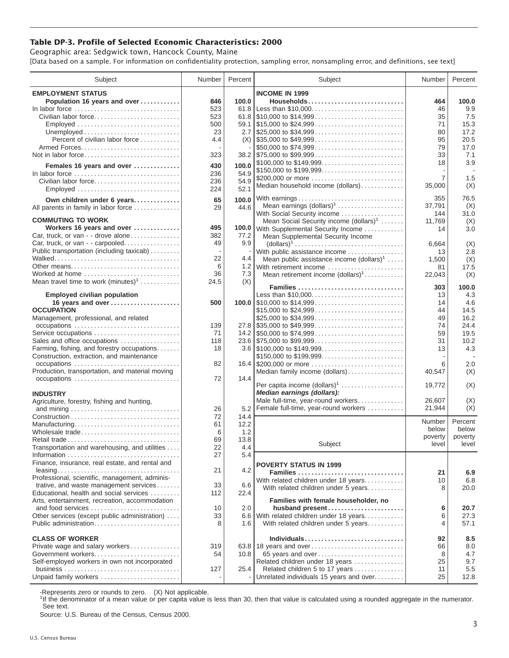## **Table DP-3. Profile of Selected Economic Characteristics: 2000**

Geographic area: Sedgwick town, Hancock County, Maine [Data based on a sample. For information on confidentiality protection, sampling error, nonsampling error, and definitions, see text]

| Subject                                         | Number | Percent | Subject                                                                                | Number  | Percent |
|-------------------------------------------------|--------|---------|----------------------------------------------------------------------------------------|---------|---------|
| <b>EMPLOYMENT STATUS</b>                        |        |         | <b>INCOME IN 1999</b>                                                                  |         |         |
| Population 16 years and over                    | 846    | 100.0   | Households                                                                             | 464     | 100.0   |
| In labor force                                  | 523    |         | 61.8 Less than \$10,000                                                                | 46      | 9.9     |
| Civilian labor force                            | 523    |         |                                                                                        | 35      | 7.5     |
| Employed                                        | 500    |         |                                                                                        | 71      | 15.3    |
|                                                 | 23     |         |                                                                                        |         | 17.2    |
|                                                 |        |         |                                                                                        | 80      | 20.5    |
| Percent of civilian labor force                 | 4.4    |         | $(X)$ \\ \$35,000 to \$49,999                                                          | 95      |         |
|                                                 |        |         | \$50,000 to \$74,999                                                                   | 79      | 17.0    |
| Not in labor force                              | 323    |         |                                                                                        | 33      | 7.1     |
| Females 16 years and over                       | 430    | 100.0   | \$100,000 to \$149,999                                                                 | 18      | 3.9     |
| In labor force                                  | 236    | 54.9    | \$150,000 to \$199,999                                                                 |         |         |
| Civilian labor force                            | 236    | 54.9    | \$200,000 or more                                                                      | 7       | 1.5     |
| Employed                                        | 224    | 52.1    | Median household income (dollars)                                                      | 35,000  | (X)     |
|                                                 |        |         |                                                                                        |         | 76.5    |
| Own children under 6 years                      | 65     | 100.0   | With earnings                                                                          | 355     |         |
| All parents in family in labor force            | 29     | 44.6    | Mean earnings $(dollars)1$                                                             | 37,791  | (X)     |
| <b>COMMUTING TO WORK</b>                        |        |         | With Social Security income                                                            | 144     | 31.0    |
|                                                 |        |         | Mean Social Security income $(dollars)^1$                                              | 11,769  | (X)     |
| Workers 16 years and over                       | 495    |         | 100.0 With Supplemental Security Income                                                | 14      | 3.0     |
| Car, truck, or van - - drove alone              | 382    | 77.2    | Mean Supplemental Security Income                                                      |         |         |
| Car, truck, or van - - carpooled                | 49     | 9.9     | $\text{(dollars)}^1 \dots \dots \dots \dots \dots \dots \dots \dots \dots \dots \dots$ | 6,664   | (X)     |
| Public transportation (including taxicab)       |        |         | With public assistance income                                                          | 13      | 2.8     |
|                                                 | 22     | 4.4     | Mean public assistance income $(dollars)1$                                             | 1,500   | (X)     |
| Other means                                     | 6      |         | 1.2 With retirement income                                                             | 81      | 17.5    |
| Worked at home                                  | 36     | 7.3     | Mean retirement income $(dollars)1$                                                    | 22,043  | (X)     |
| Mean travel time to work $(minutes)^1$          | 24.5   | (X)     | Families                                                                               |         |         |
|                                                 |        |         |                                                                                        | 303     | 100.0   |
| <b>Employed civilian population</b>             |        |         | Less than \$10,000                                                                     | 13      | 4.3     |
| 16 years and over                               | 500    |         |                                                                                        | 14      | 4.6     |
| <b>OCCUPATION</b>                               |        |         | \$15,000 to \$24,999                                                                   | 44      | 14.5    |
| Management, professional, and related           |        |         |                                                                                        | 49      | 16.2    |
| occupations                                     | 139    |         | $27.8$ \\ \$35,000 to \$49,999                                                         | 74      | 24.4    |
| Service occupations                             | 71     |         |                                                                                        | 59      | 19.5    |
| Sales and office occupations                    | 118    |         |                                                                                        | 31      | 10.2    |
| Farming, fishing, and forestry occupations      | 18     |         |                                                                                        | 13      | 4.3     |
| Construction, extraction, and maintenance       |        |         | \$150,000 to \$199,999                                                                 |         |         |
| occupations                                     | 82     |         | 16.4 \$200,000 or more                                                                 | 6       | 2.0     |
| Production, transportation, and material moving |        |         | Median family income (dollars)                                                         | 40,547  | (X)     |
|                                                 | 72     | 14.4    |                                                                                        |         |         |
|                                                 |        |         | Per capita income (dollars) <sup>1</sup>                                               | 19,772  | (X)     |
| <b>INDUSTRY</b>                                 |        |         | Median earnings (dollars):                                                             |         |         |
| Agriculture, forestry, fishing and hunting,     |        |         | Male full-time, year-round workers                                                     | 26,607  | (X)     |
|                                                 | 26     | 5.2     | Female full-time, year-round workers                                                   | 21,944  | (X)     |
|                                                 | 72     | 14.4    |                                                                                        |         |         |
| Manufacturing                                   | 61     | 12.2    |                                                                                        | Number  | Percent |
| Wholesale trade                                 | 6      | 1.2     |                                                                                        | below   | below   |
| Retail trade                                    | 69     | 13.8    |                                                                                        | poverty | poverty |
| Transportation and warehousing, and utilities   | 22     | 4.4     | Subject                                                                                | level   | level   |
|                                                 | 27     | 5.4     |                                                                                        |         |         |
| Finance, insurance, real estate, and rental and |        |         | <b>POVERTY STATUS IN 1999</b>                                                          |         |         |
|                                                 | 21     | 4.2     | Families                                                                               | 21      | 6.9     |
| Professional, scientific, management, adminis-  |        |         | With related children under 18 years                                                   | 10      | 6.8     |
| trative, and waste management services          | 33     | 6.6     | With related children under 5 years                                                    | 8       | 20.0    |
| Educational, health and social services         | 112    | 22.4    |                                                                                        |         |         |
| Arts, entertainment, recreation, accommodation  |        |         | Families with female householder, no                                                   |         |         |
| and food services                               | 10     | 2.0     | husband present                                                                        | 6       | 20.7    |
| Other services (except public administration)   | 33     |         | 6.6 With related children under 18 years                                               | 6       | 27.3    |
| Public administration                           | 8      | 1.6     | With related children under 5 years                                                    | 4       | 57.1    |
|                                                 |        |         |                                                                                        |         |         |
| <b>CLASS OF WORKER</b>                          |        |         | Individuals                                                                            | 92      | 8.5     |
| Private wage and salary workers                 | 319    |         | 63.8 18 years and over                                                                 | 66      | 8.0     |
| Government workers                              | 54     | 10.8    | 65 years and over                                                                      | 8       | 4.7     |
| Self-employed workers in own not incorporated   |        |         | Related children under 18 years                                                        | 25      | 9.7     |
|                                                 | 127    | 25.4    | Related children 5 to 17 years                                                         | 11      | 5.5     |
| Unpaid family workers                           |        |         | Unrelated individuals 15 years and over                                                | 25      | 12.8    |
|                                                 |        |         |                                                                                        |         |         |

-Represents zero or rounds to zero. (X) Not applicable.

<sup>1</sup>If the denominator of a mean value or per capita value is less than 30, then that value is calculated using a rounded aggregate in the numerator. See text.

Source: U.S. Bureau of the Census, Census 2000.